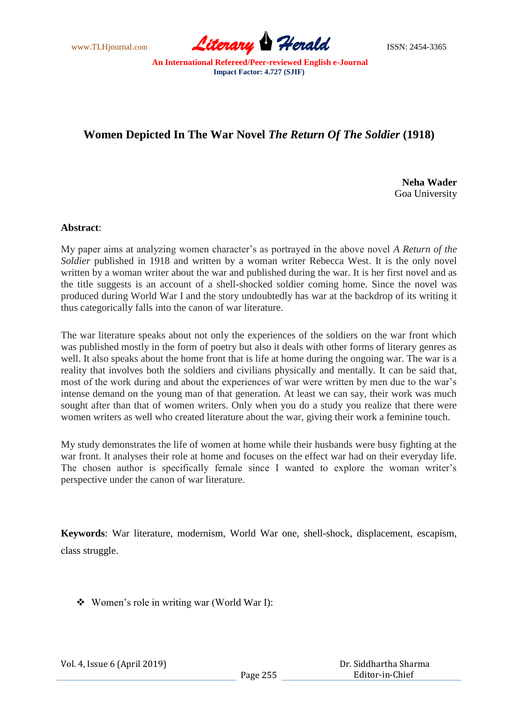www.TLHjournal.com **Literary Herald Herald** ISSN: 2454-3365

# **Women Depicted In The War Novel** *The Return Of The Soldier* **(1918)**

**Neha Wader**  Goa University

# **Abstract**:

My paper aims at analyzing women character"s as portrayed in the above novel *A Return of the*  Soldier published in 1918 and written by a woman writer Rebecca West. It is the only novel written by a woman writer about the war and published during the war. It is her first novel and as the title suggests is an account of a shell-shocked soldier coming home. Since the novel was produced during World War I and the story undoubtedly has war at the backdrop of its writing it thus categorically falls into the canon of war literature.

The war literature speaks about not only the experiences of the soldiers on the war front which was published mostly in the form of poetry but also it deals with other forms of literary genres as well. It also speaks about the home front that is life at home during the ongoing war. The war is a reality that involves both the soldiers and civilians physically and mentally. It can be said that, most of the work during and about the experiences of war were written by men due to the war"s intense demand on the young man of that generation. At least we can say, their work was much sought after than that of women writers. Only when you do a study you realize that there were women writers as well who created literature about the war, giving their work a feminine touch.

My study demonstrates the life of women at home while their husbands were busy fighting at the war front. It analyses their role at home and focuses on the effect war had on their everyday life. The chosen author is specifically female since I wanted to explore the woman writer's perspective under the canon of war literature.

**Keywords**: War literature, modernism, World War one, shell-shock, displacement, escapism, class struggle.

Women"s role in writing war (World War I):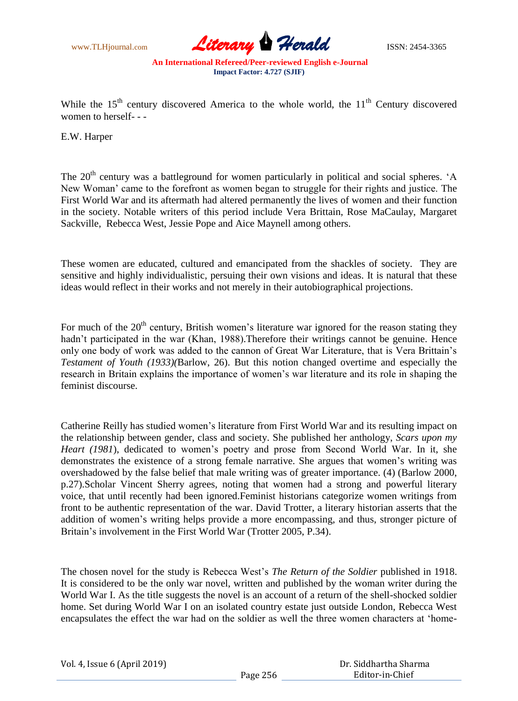www.TLHjournal.com **Literary Herald Herald** ISSN: 2454-3365

While the  $15<sup>th</sup>$  century discovered America to the whole world, the  $11<sup>th</sup>$  Century discovered women to herself- - -

E.W. Harper

The 20<sup>th</sup> century was a battleground for women particularly in political and social spheres. 'A New Woman" came to the forefront as women began to struggle for their rights and justice. The First World War and its aftermath had altered permanently the lives of women and their function in the society. Notable writers of this period include Vera Brittain, Rose MaCaulay, Margaret Sackville, Rebecca West, Jessie Pope and Aice Maynell among others.

These women are educated, cultured and emancipated from the shackles of society. They are sensitive and highly individualistic, persuing their own visions and ideas. It is natural that these ideas would reflect in their works and not merely in their autobiographical projections.

For much of the  $20<sup>th</sup>$  century, British women's literature war ignored for the reason stating they hadn't participated in the war (Khan, 1988).Therefore their writings cannot be genuine. Hence only one body of work was added to the cannon of Great War Literature, that is Vera Brittain"s *Testament of Youth (1933)(*Barlow, 26). But this notion changed overtime and especially the research in Britain explains the importance of women"s war literature and its role in shaping the feminist discourse.

Catherine Reilly has studied women"s literature from First World War and its resulting impact on the relationship between gender, class and society. She published her anthology, *Scars upon my Heart (1981*), dedicated to women"s poetry and prose from Second World War. In it, she demonstrates the existence of a strong female narrative. She argues that women"s writing was overshadowed by the false belief that male writing was of greater importance. (4) (Barlow 2000, p.27).Scholar Vincent Sherry agrees, noting that women had a strong and powerful literary voice, that until recently had been ignored.Feminist historians categorize women writings from front to be authentic representation of the war. David Trotter, a literary historian asserts that the addition of women's writing helps provide a more encompassing, and thus, stronger picture of Britain's involvement in the First World War (Trotter 2005, P.34).

The chosen novel for the study is Rebecca West"s *The Return of the Soldier* published in 1918. It is considered to be the only war novel, written and published by the woman writer during the World War I. As the title suggests the novel is an account of a return of the shell-shocked soldier home. Set during World War I on an isolated country estate just outside London, Rebecca West encapsulates the effect the war had on the soldier as well the three women characters at "home-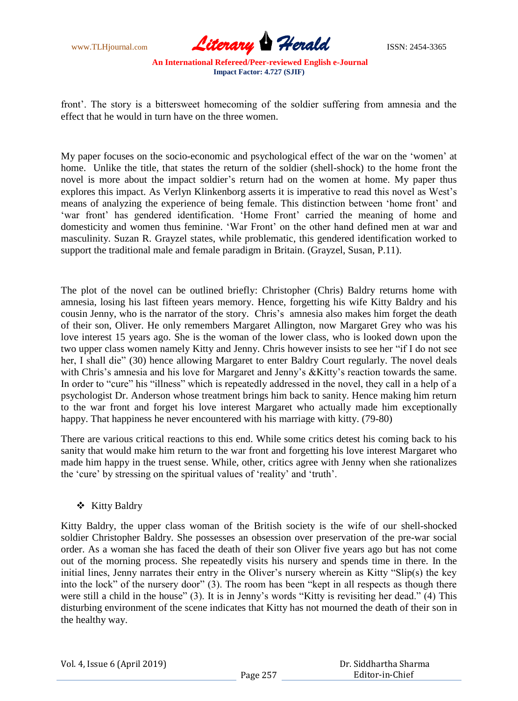

front". The story is a bittersweet homecoming of the soldier suffering from amnesia and the effect that he would in turn have on the three women.

My paper focuses on the socio-economic and psychological effect of the war on the "women" at home. Unlike the title, that states the return of the soldier (shell-shock) to the home front the novel is more about the impact soldier"s return had on the women at home. My paper thus explores this impact. As Verlyn Klinkenborg asserts it is imperative to read this novel as West"s means of analyzing the experience of being female. This distinction between "home front" and 'war front' has gendered identification. 'Home Front' carried the meaning of home and domesticity and women thus feminine. "War Front" on the other hand defined men at war and masculinity. Suzan R. Grayzel states, while problematic, this gendered identification worked to support the traditional male and female paradigm in Britain. (Grayzel, Susan, P.11).

The plot of the novel can be outlined briefly: Christopher (Chris) Baldry returns home with amnesia, losing his last fifteen years memory. Hence, forgetting his wife Kitty Baldry and his cousin Jenny, who is the narrator of the story. Chris's amnesia also makes him forget the death of their son, Oliver. He only remembers Margaret Allington, now Margaret Grey who was his love interest 15 years ago. She is the woman of the lower class, who is looked down upon the two upper class women namely Kitty and Jenny. Chris however insists to see her "if I do not see her, I shall die" (30) hence allowing Margaret to enter Baldry Court regularly. The novel deals with Chris's amnesia and his love for Margaret and Jenny's &Kitty's reaction towards the same. In order to "cure" his "illness" which is repeatedly addressed in the novel, they call in a help of a psychologist Dr. Anderson whose treatment brings him back to sanity. Hence making him return to the war front and forget his love interest Margaret who actually made him exceptionally happy. That happiness he never encountered with his marriage with kitty. (79-80)

There are various critical reactions to this end. While some critics detest his coming back to his sanity that would make him return to the war front and forgetting his love interest Margaret who made him happy in the truest sense. While, other, critics agree with Jenny when she rationalizes the "cure" by stressing on the spiritual values of "reality" and "truth".

## Kitty Baldry

Kitty Baldry, the upper class woman of the British society is the wife of our shell-shocked soldier Christopher Baldry. She possesses an obsession over preservation of the pre-war social order. As a woman she has faced the death of their son Oliver five years ago but has not come out of the morning process. She repeatedly visits his nursery and spends time in there. In the initial lines, Jenny narrates their entry in the Oliver's nursery wherein as Kitty "Slip(s) the key into the lock" of the nursery door" (3). The room has been "kept in all respects as though there were still a child in the house" (3). It is in Jenny"s words "Kitty is revisiting her dead." (4) This disturbing environment of the scene indicates that Kitty has not mourned the death of their son in the healthy way.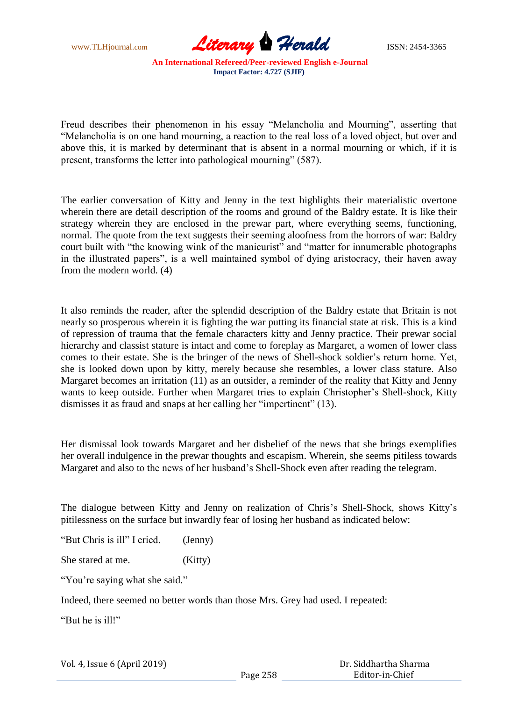

Freud describes their phenomenon in his essay "Melancholia and Mourning", asserting that "Melancholia is on one hand mourning, a reaction to the real loss of a loved object, but over and above this, it is marked by determinant that is absent in a normal mourning or which, if it is present, transforms the letter into pathological mourning" (587).

The earlier conversation of Kitty and Jenny in the text highlights their materialistic overtone wherein there are detail description of the rooms and ground of the Baldry estate. It is like their strategy wherein they are enclosed in the prewar part, where everything seems, functioning, normal. The quote from the text suggests their seeming aloofness from the horrors of war: Baldry court built with "the knowing wink of the manicurist" and "matter for innumerable photographs in the illustrated papers", is a well maintained symbol of dying aristocracy, their haven away from the modern world. (4)

It also reminds the reader, after the splendid description of the Baldry estate that Britain is not nearly so prosperous wherein it is fighting the war putting its financial state at risk. This is a kind of repression of trauma that the female characters kitty and Jenny practice. Their prewar social hierarchy and classist stature is intact and come to foreplay as Margaret, a women of lower class comes to their estate. She is the bringer of the news of Shell-shock soldier"s return home. Yet, she is looked down upon by kitty, merely because she resembles, a lower class stature. Also Margaret becomes an irritation (11) as an outsider, a reminder of the reality that Kitty and Jenny wants to keep outside. Further when Margaret tries to explain Christopher"s Shell-shock, Kitty dismisses it as fraud and snaps at her calling her "impertinent" (13).

Her dismissal look towards Margaret and her disbelief of the news that she brings exemplifies her overall indulgence in the prewar thoughts and escapism. Wherein, she seems pitiless towards Margaret and also to the news of her husband"s Shell-Shock even after reading the telegram.

The dialogue between Kitty and Jenny on realization of Chris's Shell-Shock, shows Kitty's pitilessness on the surface but inwardly fear of losing her husband as indicated below:

"But Chris is ill" I cried. (Jenny)

She stared at me. (Kitty)

"You're saying what she said."

Indeed, there seemed no better words than those Mrs. Grey had used. I repeated:

"But he is ill!"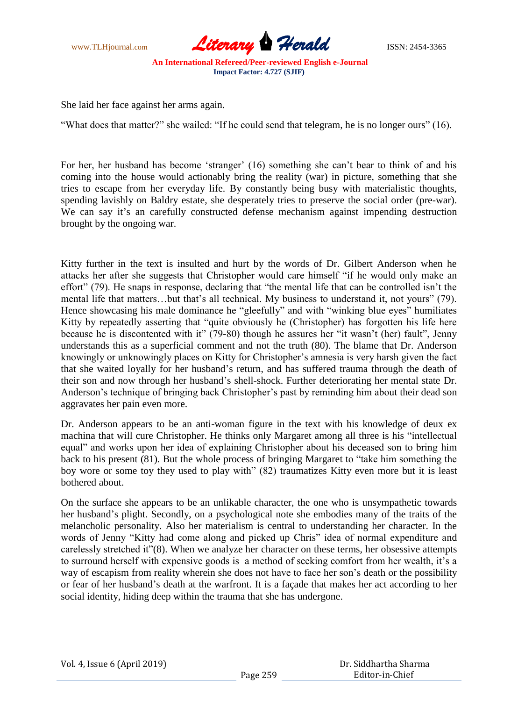

She laid her face against her arms again.

"What does that matter?" she wailed: "If he could send that telegram, he is no longer ours" (16).

For her, her husband has become 'stranger' (16) something she can't bear to think of and his coming into the house would actionably bring the reality (war) in picture, something that she tries to escape from her everyday life. By constantly being busy with materialistic thoughts, spending lavishly on Baldry estate, she desperately tries to preserve the social order (pre-war). We can say it's an carefully constructed defense mechanism against impending destruction brought by the ongoing war.

Kitty further in the text is insulted and hurt by the words of Dr. Gilbert Anderson when he attacks her after she suggests that Christopher would care himself "if he would only make an effort" (79). He snaps in response, declaring that "the mental life that can be controlled isn't the mental life that matters...but that's all technical. My business to understand it, not yours" (79). Hence showcasing his male dominance he "gleefully" and with "winking blue eyes" humiliates Kitty by repeatedly asserting that "quite obviously he (Christopher) has forgotten his life here because he is discontented with it" (79-80) though he assures her "it wasn"t (her) fault", Jenny understands this as a superficial comment and not the truth (80). The blame that Dr. Anderson knowingly or unknowingly places on Kitty for Christopher"s amnesia is very harsh given the fact that she waited loyally for her husband"s return, and has suffered trauma through the death of their son and now through her husband"s shell-shock. Further deteriorating her mental state Dr. Anderson's technique of bringing back Christopher's past by reminding him about their dead son aggravates her pain even more.

Dr. Anderson appears to be an anti-woman figure in the text with his knowledge of deux ex machina that will cure Christopher. He thinks only Margaret among all three is his "intellectual equal" and works upon her idea of explaining Christopher about his deceased son to bring him back to his present (81). But the whole process of bringing Margaret to "take him something the boy wore or some toy they used to play with" (82) traumatizes Kitty even more but it is least bothered about.

On the surface she appears to be an unlikable character, the one who is unsympathetic towards her husband"s plight. Secondly, on a psychological note she embodies many of the traits of the melancholic personality. Also her materialism is central to understanding her character. In the words of Jenny "Kitty had come along and picked up Chris" idea of normal expenditure and carelessly stretched it"(8). When we analyze her character on these terms, her obsessive attempts to surround herself with expensive goods is a method of seeking comfort from her wealth, it's a way of escapism from reality wherein she does not have to face her son"s death or the possibility or fear of her husband"s death at the warfront. It is a façade that makes her act according to her social identity, hiding deep within the trauma that she has undergone.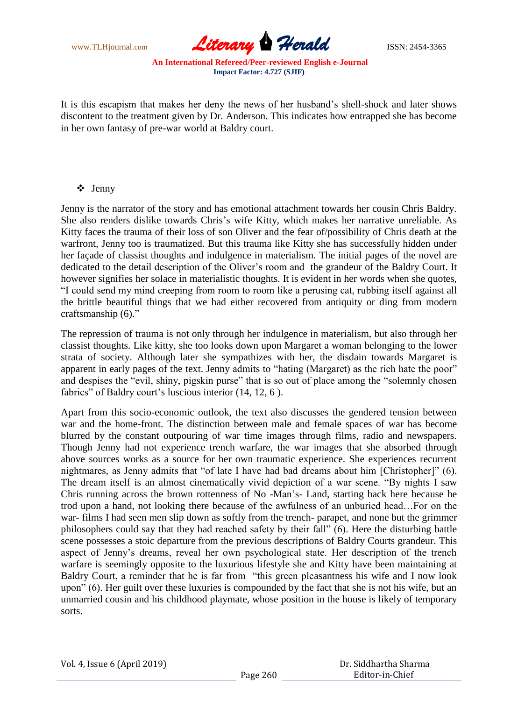www.TLHjournal.com *Literary Herald*ISSN: 2454-3365

It is this escapism that makes her deny the news of her husband"s shell-shock and later shows discontent to the treatment given by Dr. Anderson. This indicates how entrapped she has become in her own fantasy of pre-war world at Baldry court.

### Jenny

Jenny is the narrator of the story and has emotional attachment towards her cousin Chris Baldry. She also renders dislike towards Chris"s wife Kitty, which makes her narrative unreliable. As Kitty faces the trauma of their loss of son Oliver and the fear of/possibility of Chris death at the warfront, Jenny too is traumatized. But this trauma like Kitty she has successfully hidden under her façade of classist thoughts and indulgence in materialism. The initial pages of the novel are dedicated to the detail description of the Oliver"s room and the grandeur of the Baldry Court. It however signifies her solace in materialistic thoughts. It is evident in her words when she quotes, "I could send my mind creeping from room to room like a perusing cat, rubbing itself against all the brittle beautiful things that we had either recovered from antiquity or ding from modern craftsmanship (6)."

The repression of trauma is not only through her indulgence in materialism, but also through her classist thoughts. Like kitty, she too looks down upon Margaret a woman belonging to the lower strata of society. Although later she sympathizes with her, the disdain towards Margaret is apparent in early pages of the text. Jenny admits to "hating (Margaret) as the rich hate the poor" and despises the "evil, shiny, pigskin purse" that is so out of place among the "solemnly chosen fabrics" of Baldry court's luscious interior (14, 12, 6).

Apart from this socio-economic outlook, the text also discusses the gendered tension between war and the home-front. The distinction between male and female spaces of war has become blurred by the constant outpouring of war time images through films, radio and newspapers. Though Jenny had not experience trench warfare, the war images that she absorbed through above sources works as a source for her own traumatic experience. She experiences recurrent nightmares, as Jenny admits that "of late I have had bad dreams about him [Christopher]" (6). The dream itself is an almost cinematically vivid depiction of a war scene. "By nights I saw Chris running across the brown rottenness of No -Man"s- Land, starting back here because he trod upon a hand, not looking there because of the awfulness of an unburied head…For on the war- films I had seen men slip down as softly from the trench- parapet, and none but the grimmer philosophers could say that they had reached safety by their fall" (6). Here the disturbing battle scene possesses a stoic departure from the previous descriptions of Baldry Courts grandeur. This aspect of Jenny"s dreams, reveal her own psychological state. Her description of the trench warfare is seemingly opposite to the luxurious lifestyle she and Kitty have been maintaining at Baldry Court, a reminder that he is far from "this green pleasantness his wife and I now look upon" (6). Her guilt over these luxuries is compounded by the fact that she is not his wife, but an unmarried cousin and his childhood playmate, whose position in the house is likely of temporary sorts.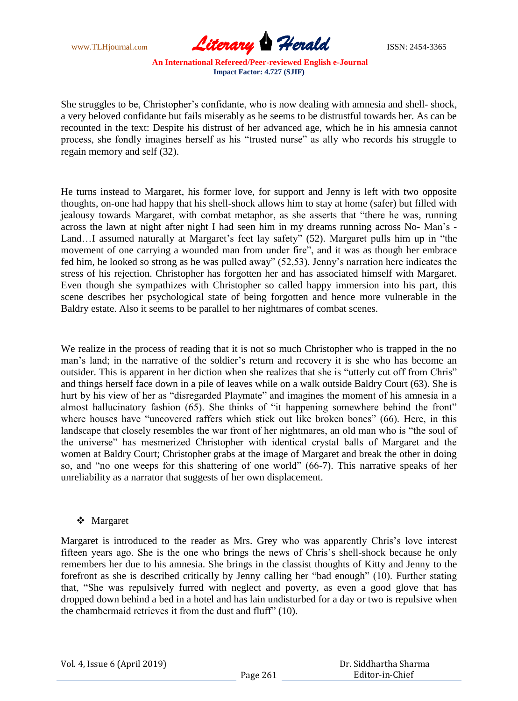www.TLHjournal.com *Literary Herald*ISSN: 2454-3365

She struggles to be, Christopher's confidante, who is now dealing with amnesia and shell- shock, a very beloved confidante but fails miserably as he seems to be distrustful towards her. As can be recounted in the text: Despite his distrust of her advanced age, which he in his amnesia cannot process, she fondly imagines herself as his "trusted nurse" as ally who records his struggle to regain memory and self (32).

He turns instead to Margaret, his former love, for support and Jenny is left with two opposite thoughts, on-one had happy that his shell-shock allows him to stay at home (safer) but filled with jealousy towards Margaret, with combat metaphor, as she asserts that "there he was, running across the lawn at night after night I had seen him in my dreams running across No- Man"s - Land...I assumed naturally at Margaret's feet lay safety" (52). Margaret pulls him up in "the movement of one carrying a wounded man from under fire", and it was as though her embrace fed him, he looked so strong as he was pulled away" (52,53). Jenny"s narration here indicates the stress of his rejection. Christopher has forgotten her and has associated himself with Margaret. Even though she sympathizes with Christopher so called happy immersion into his part, this scene describes her psychological state of being forgotten and hence more vulnerable in the Baldry estate. Also it seems to be parallel to her nightmares of combat scenes.

We realize in the process of reading that it is not so much Christopher who is trapped in the no man's land; in the narrative of the soldier's return and recovery it is she who has become an outsider. This is apparent in her diction when she realizes that she is "utterly cut off from Chris" and things herself face down in a pile of leaves while on a walk outside Baldry Court (63). She is hurt by his view of her as "disregarded Playmate" and imagines the moment of his amnesia in a almost hallucinatory fashion (65). She thinks of "it happening somewhere behind the front" where houses have "uncovered raffers which stick out like broken bones" (66). Here, in this landscape that closely resembles the war front of her nightmares, an old man who is "the soul of the universe" has mesmerized Christopher with identical crystal balls of Margaret and the women at Baldry Court; Christopher grabs at the image of Margaret and break the other in doing so, and "no one weeps for this shattering of one world" (66-7). This narrative speaks of her unreliability as a narrator that suggests of her own displacement.

### Margaret

Margaret is introduced to the reader as Mrs. Grey who was apparently Chris's love interest fifteen years ago. She is the one who brings the news of Chris's shell-shock because he only remembers her due to his amnesia. She brings in the classist thoughts of Kitty and Jenny to the forefront as she is described critically by Jenny calling her "bad enough" (10). Further stating that, "She was repulsively furred with neglect and poverty, as even a good glove that has dropped down behind a bed in a hotel and has lain undisturbed for a day or two is repulsive when the chambermaid retrieves it from the dust and fluff" (10).

| Vol. 4, Issue 6 (April 2019) |  |  |  |
|------------------------------|--|--|--|
|------------------------------|--|--|--|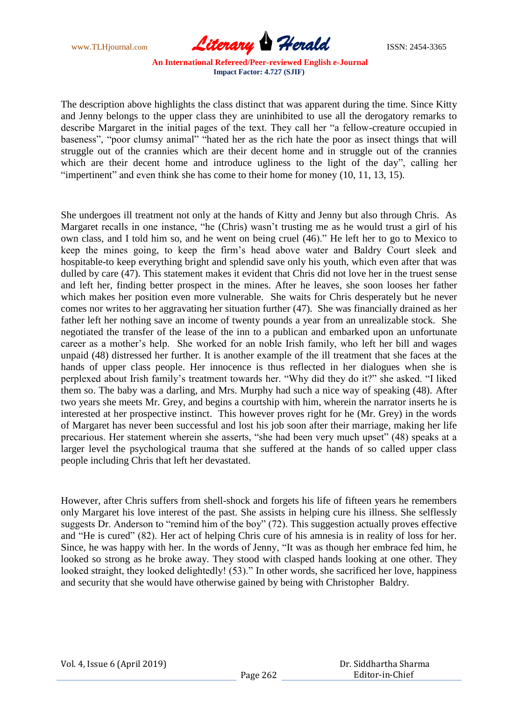www.TLHjournal.com *Literary Herald*ISSN: 2454-3365

The description above highlights the class distinct that was apparent during the time. Since Kitty and Jenny belongs to the upper class they are uninhibited to use all the derogatory remarks to describe Margaret in the initial pages of the text. They call her "a fellow-creature occupied in baseness", "poor clumsy animal" "hated her as the rich hate the poor as insect things that will struggle out of the crannies which are their decent home and in struggle out of the crannies which are their decent home and introduce ugliness to the light of the day", calling her "impertinent" and even think she has come to their home for money (10, 11, 13, 15).

She undergoes ill treatment not only at the hands of Kitty and Jenny but also through Chris. As Margaret recalls in one instance, "he (Chris) wasn"t trusting me as he would trust a girl of his own class, and I told him so, and he went on being cruel (46)." He left her to go to Mexico to keep the mines going, to keep the firm"s head above water and Baldry Court sleek and hospitable-to keep everything bright and splendid save only his youth, which even after that was dulled by care (47). This statement makes it evident that Chris did not love her in the truest sense and left her, finding better prospect in the mines. After he leaves, she soon looses her father which makes her position even more vulnerable. She waits for Chris desperately but he never comes nor writes to her aggravating her situation further (47). She was financially drained as her father left her nothing save an income of twenty pounds a year from an unrealizable stock. She negotiated the transfer of the lease of the inn to a publican and embarked upon an unfortunate career as a mother"s help. She worked for an noble Irish family, who left her bill and wages unpaid (48) distressed her further. It is another example of the ill treatment that she faces at the hands of upper class people. Her innocence is thus reflected in her dialogues when she is perplexed about Irish family"s treatment towards her. "Why did they do it?" she asked. "I liked them so. The baby was a darling, and Mrs. Murphy had such a nice way of speaking (48). After two years she meets Mr. Grey, and begins a courtship with him, wherein the narrator inserts he is interested at her prospective instinct. This however proves right for he (Mr. Grey) in the words of Margaret has never been successful and lost his job soon after their marriage, making her life precarious. Her statement wherein she asserts, "she had been very much upset" (48) speaks at a larger level the psychological trauma that she suffered at the hands of so called upper class people including Chris that left her devastated.

However, after Chris suffers from shell-shock and forgets his life of fifteen years he remembers only Margaret his love interest of the past. She assists in helping cure his illness. She selflessly suggests Dr. Anderson to "remind him of the boy" (72). This suggestion actually proves effective and "He is cured" (82). Her act of helping Chris cure of his amnesia is in reality of loss for her. Since, he was happy with her. In the words of Jenny, "It was as though her embrace fed him, he looked so strong as he broke away. They stood with clasped hands looking at one other. They looked straight, they looked delightedly! (53)." In other words, she sacrificed her love, happiness and security that she would have otherwise gained by being with Christopher Baldry.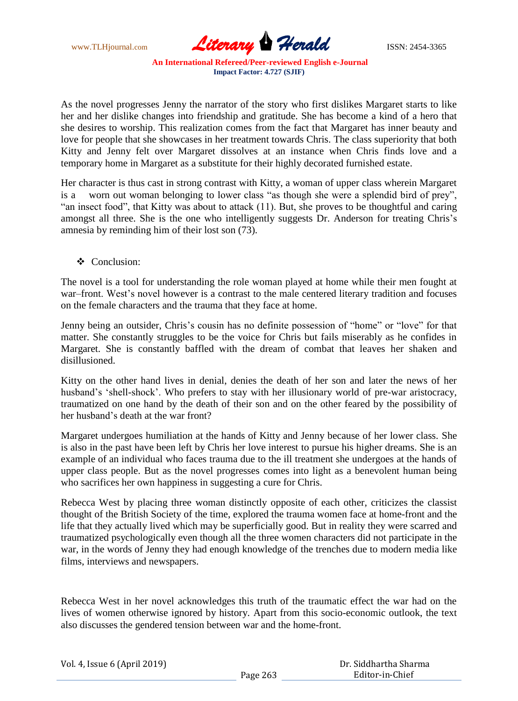www.TLHjournal.com **Literary Herald Herald** ISSN: 2454-3365

As the novel progresses Jenny the narrator of the story who first dislikes Margaret starts to like her and her dislike changes into friendship and gratitude. She has become a kind of a hero that she desires to worship. This realization comes from the fact that Margaret has inner beauty and love for people that she showcases in her treatment towards Chris. The class superiority that both Kitty and Jenny felt over Margaret dissolves at an instance when Chris finds love and a temporary home in Margaret as a substitute for their highly decorated furnished estate.

Her character is thus cast in strong contrast with Kitty, a woman of upper class wherein Margaret is a worn out woman belonging to lower class "as though she were a splendid bird of prey", "an insect food", that Kitty was about to attack (11). But, she proves to be thoughtful and caring amongst all three. She is the one who intelligently suggests Dr. Anderson for treating Chris"s amnesia by reminding him of their lost son (73).

Conclusion:

The novel is a tool for understanding the role woman played at home while their men fought at war–front. West's novel however is a contrast to the male centered literary tradition and focuses on the female characters and the trauma that they face at home.

Jenny being an outsider, Chris's cousin has no definite possession of "home" or "love" for that matter. She constantly struggles to be the voice for Chris but fails miserably as he confides in Margaret. She is constantly baffled with the dream of combat that leaves her shaken and disillusioned.

Kitty on the other hand lives in denial, denies the death of her son and later the news of her husband's 'shell-shock'. Who prefers to stay with her illusionary world of pre-war aristocracy, traumatized on one hand by the death of their son and on the other feared by the possibility of her husband"s death at the war front?

Margaret undergoes humiliation at the hands of Kitty and Jenny because of her lower class. She is also in the past have been left by Chris her love interest to pursue his higher dreams. She is an example of an individual who faces trauma due to the ill treatment she undergoes at the hands of upper class people. But as the novel progresses comes into light as a benevolent human being who sacrifices her own happiness in suggesting a cure for Chris.

Rebecca West by placing three woman distinctly opposite of each other, criticizes the classist thought of the British Society of the time, explored the trauma women face at home-front and the life that they actually lived which may be superficially good. But in reality they were scarred and traumatized psychologically even though all the three women characters did not participate in the war, in the words of Jenny they had enough knowledge of the trenches due to modern media like films, interviews and newspapers.

Rebecca West in her novel acknowledges this truth of the traumatic effect the war had on the lives of women otherwise ignored by history. Apart from this socio-economic outlook, the text also discusses the gendered tension between war and the home-front.

| Vol. 4, Issue 6 (April 2019) |          | Dr. Siddhartha Sharma |
|------------------------------|----------|-----------------------|
|                              | Page 263 | Editor-in-Chief       |